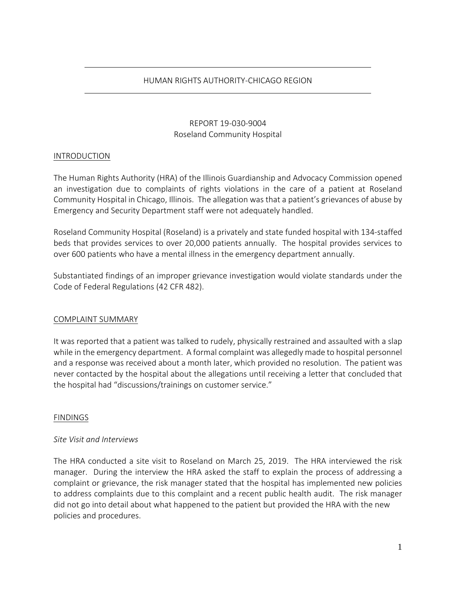### HUMAN RIGHTS AUTHORITY-CHICAGO REGION

# REPORT 19-030-9004 Roseland Community Hospital

#### INTRODUCTION

The Human Rights Authority (HRA) of the Illinois Guardianship and Advocacy Commission opened an investigation due to complaints of rights violations in the care of a patient at Roseland Community Hospital in Chicago, Illinois. The allegation was that a patient's grievances of abuse by Emergency and Security Department staff were not adequately handled.

Roseland Community Hospital (Roseland) is a privately and state funded hospital with 134-staffed beds that provides services to over 20,000 patients annually. The hospital provides services to over 600 patients who have a mental illness in the emergency department annually.

Substantiated findings of an improper grievance investigation would violate standards under the Code of Federal Regulations (42 CFR 482).

#### COMPLAINT SUMMARY

It was reported that a patient was talked to rudely, physically restrained and assaulted with a slap while in the emergency department. A formal complaint was allegedly made to hospital personnel and a response was received about a month later, which provided no resolution. The patient was never contacted by the hospital about the allegations until receiving a letter that concluded that the hospital had "discussions/trainings on customer service."

#### FINDINGS

## *Site Visit and Interviews*

The HRA conducted a site visit to Roseland on March 25, 2019. The HRA interviewed the risk manager. During the interview the HRA asked the staff to explain the process of addressing a complaint or grievance, the risk manager stated that the hospital has implemented new policies to address complaints due to this complaint and a recent public health audit. The risk manager did not go into detail about what happened to the patient but provided the HRA with the new policies and procedures.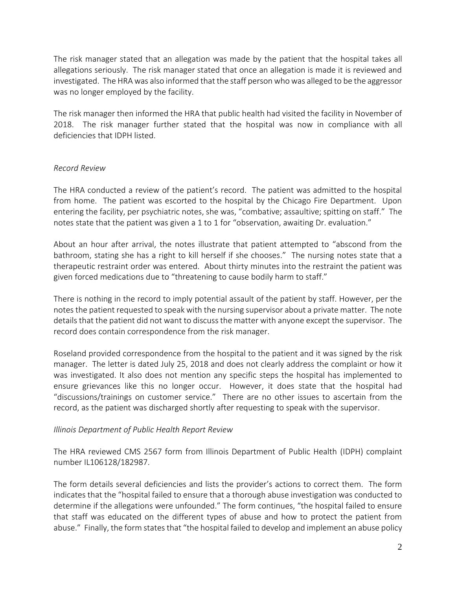The risk manager stated that an allegation was made by the patient that the hospital takes all allegations seriously. The risk manager stated that once an allegation is made it is reviewed and investigated. The HRA was also informed that the staff person who was alleged to be the aggressor was no longer employed by the facility.

The risk manager then informed the HRA that public health had visited the facility in November of 2018. The risk manager further stated that the hospital was now in compliance with all deficiencies that IDPH listed.

## *Record Review*

The HRA conducted a review of the patient's record. The patient was admitted to the hospital from home. The patient was escorted to the hospital by the Chicago Fire Department. Upon entering the facility, per psychiatric notes, she was, "combative; assaultive; spitting on staff." The notes state that the patient was given a 1 to 1 for "observation, awaiting Dr. evaluation."

About an hour after arrival, the notes illustrate that patient attempted to "abscond from the bathroom, stating she has a right to kill herself if she chooses." The nursing notes state that a therapeutic restraint order was entered. About thirty minutes into the restraint the patient was given forced medications due to "threatening to cause bodily harm to staff."

There is nothing in the record to imply potential assault of the patient by staff. However, per the notes the patient requested to speak with the nursing supervisor about a private matter. The note details that the patient did not want to discuss the matter with anyone except the supervisor. The record does contain correspondence from the risk manager.

Roseland provided correspondence from the hospital to the patient and it was signed by the risk manager. The letter is dated July 25, 2018 and does not clearly address the complaint or how it was investigated. It also does not mention any specific steps the hospital has implemented to ensure grievances like this no longer occur. However, it does state that the hospital had "discussions/trainings on customer service." There are no other issues to ascertain from the record, as the patient was discharged shortly after requesting to speak with the supervisor.

## *Illinois Department of Public Health Report Review*

The HRA reviewed CMS 2567 form from Illinois Department of Public Health (IDPH) complaint number IL106128/182987.

The form details several deficiencies and lists the provider's actions to correct them. The form indicates that the "hospital failed to ensure that a thorough abuse investigation was conducted to determine if the allegations were unfounded." The form continues, "the hospital failed to ensure that staff was educated on the different types of abuse and how to protect the patient from abuse." Finally, the form states that "the hospital failed to develop and implement an abuse policy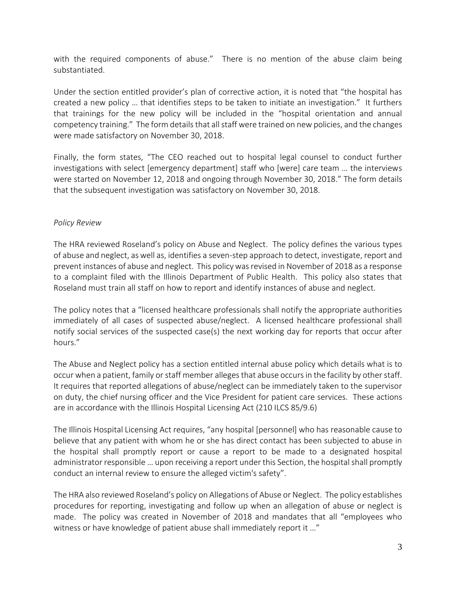with the required components of abuse." There is no mention of the abuse claim being substantiated.

Under the section entitled provider's plan of corrective action, it is noted that "the hospital has created a new policy … that identifies steps to be taken to initiate an investigation." It furthers that trainings for the new policy will be included in the "hospital orientation and annual competency training." The form details that all staff were trained on new policies, and the changes were made satisfactory on November 30, 2018.

Finally, the form states, "The CEO reached out to hospital legal counsel to conduct further investigations with select [emergency department] staff who [were] care team … the interviews were started on November 12, 2018 and ongoing through November 30, 2018." The form details that the subsequent investigation was satisfactory on November 30, 2018.

## *Policy Review*

The HRA reviewed Roseland's policy on Abuse and Neglect. The policy defines the various types of abuse and neglect, as well as, identifies a seven-step approach to detect, investigate, report and prevent instances of abuse and neglect. This policy was revised in November of 2018 as a response to a complaint filed with the Illinois Department of Public Health. This policy also states that Roseland must train all staff on how to report and identify instances of abuse and neglect.

The policy notes that a "licensed healthcare professionals shall notify the appropriate authorities immediately of all cases of suspected abuse/neglect. A licensed healthcare professional shall notify social services of the suspected case(s) the next working day for reports that occur after hours."

The Abuse and Neglect policy has a section entitled internal abuse policy which details what is to occur when a patient, family or staff member alleges that abuse occurs in the facility by other staff. It requires that reported allegations of abuse/neglect can be immediately taken to the supervisor on duty, the chief nursing officer and the Vice President for patient care services. These actions are in accordance with the Illinois Hospital Licensing Act (210 ILCS 85/9.6)

The Illinois Hospital Licensing Act requires, "any hospital [personnel] who has reasonable cause to believe that any patient with whom he or she has direct contact has been subjected to abuse in the hospital shall promptly report or cause a report to be made to a designated hospital administrator responsible … upon receiving a report under this Section, the hospital shall promptly conduct an internal review to ensure the alleged victim's safety".

The HRA also reviewed Roseland's policy on Allegations of Abuse or Neglect. The policy establishes procedures for reporting, investigating and follow up when an allegation of abuse or neglect is made. The policy was created in November of 2018 and mandates that all "employees who witness or have knowledge of patient abuse shall immediately report it …"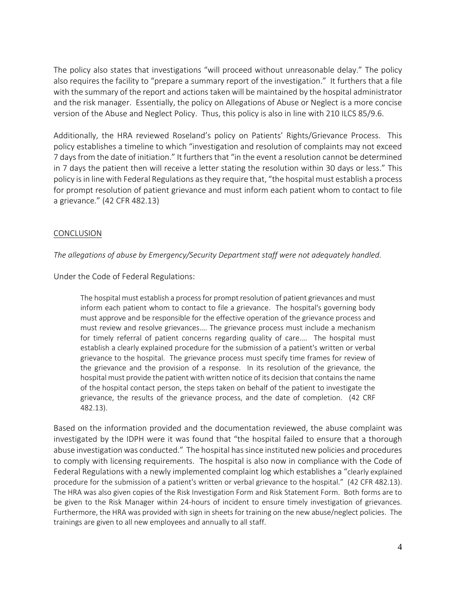The policy also states that investigations "will proceed without unreasonable delay." The policy also requires the facility to "prepare a summary report of the investigation." It furthers that a file with the summary of the report and actions taken will be maintained by the hospital administrator and the risk manager. Essentially, the policy on Allegations of Abuse or Neglect is a more concise version of the Abuse and Neglect Policy. Thus, this policy is also in line with 210 ILCS 85/9.6.

Additionally, the HRA reviewed Roseland's policy on Patients' Rights/Grievance Process. This policy establishes a timeline to which "investigation and resolution of complaints may not exceed 7 days from the date of initiation." It furthers that "in the event a resolution cannot be determined in 7 days the patient then will receive a letter stating the resolution within 30 days or less." This policy is in line with Federal Regulations as they require that, "the hospital must establish a process for prompt resolution of patient grievance and must inform each patient whom to contact to file a grievance." (42 CFR 482.13)

#### CONCLUSION

### *The allegations of abuse by Emergency/Security Department staff were not adequately handled.*

Under the Code of Federal Regulations:

The hospital must establish a process for prompt resolution of patient grievances and must inform each patient whom to contact to file a grievance. The hospital's governing body must approve and be responsible for the effective operation of the grievance process and must review and resolve grievances…. The grievance process must include a mechanism for timely referral of patient concerns regarding quality of care…. The hospital must establish a clearly explained procedure for the submission of a patient's written or verbal grievance to the hospital. The grievance process must specify time frames for review of the grievance and the provision of a response. In its resolution of the grievance, the hospital must provide the patient with written notice of its decision that contains the name of the hospital contact person, the steps taken on behalf of the patient to investigate the grievance, the results of the grievance process, and the date of completion. (42 CRF 482.13).

Based on the information provided and the documentation reviewed, the abuse complaint was investigated by the IDPH were it was found that "the hospital failed to ensure that a thorough abuse investigation was conducted." The hospital has since instituted new policies and procedures to comply with licensing requirements. The hospital is also now in compliance with the Code of Federal Regulations with a newly implemented complaint log which establishes a "clearly explained procedure for the submission of a patient's written or verbal grievance to the hospital." (42 CFR 482.13). The HRA was also given copies of the Risk Investigation Form and Risk Statement Form. Both forms are to be given to the Risk Manager within 24-hours of incident to ensure timely investigation of grievances. Furthermore, the HRA was provided with sign in sheets for training on the new abuse/neglect policies. The trainings are given to all new employees and annually to all staff.